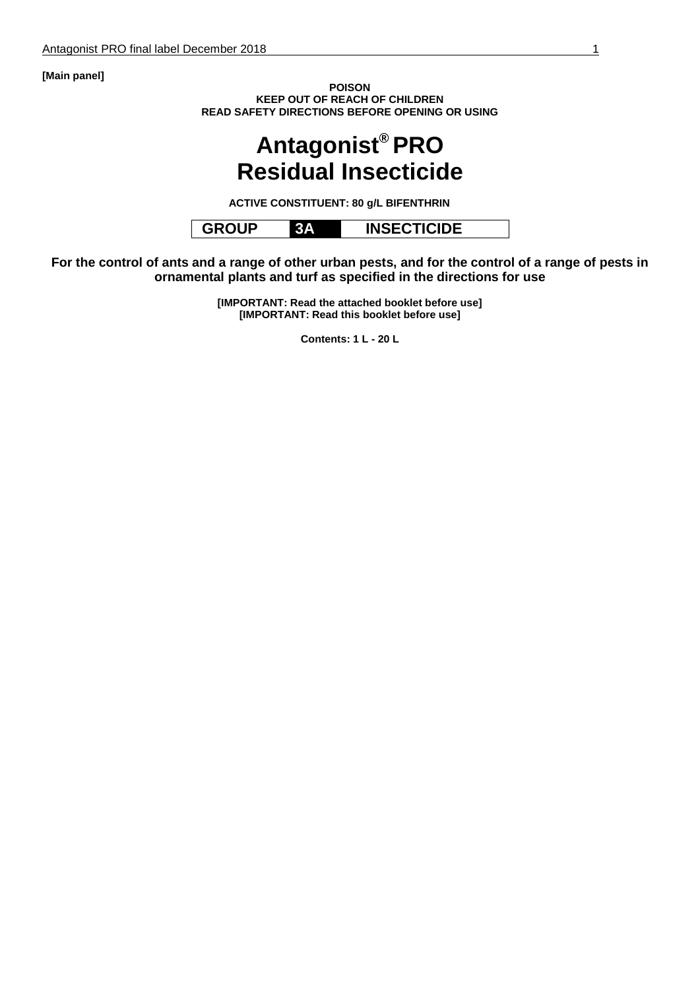**[Main panel]**

**POISON KEEP OUT OF REACH OF CHILDREN READ SAFETY DIRECTIONS BEFORE OPENING OR USING**

# **Antagonist® PRO Residual Insecticide**

**ACTIVE CONSTITUENT: 80 g/L BIFENTHRIN**

**GROUP 3A INSECTICIDE**

**For the control of ants and a range of other urban pests, and for the control of a range of pests in ornamental plants and turf as specified in the directions for use**

> **[IMPORTANT: Read the attached booklet before use] [IMPORTANT: Read this booklet before use]**

> > **Contents: 1 L - 20 L**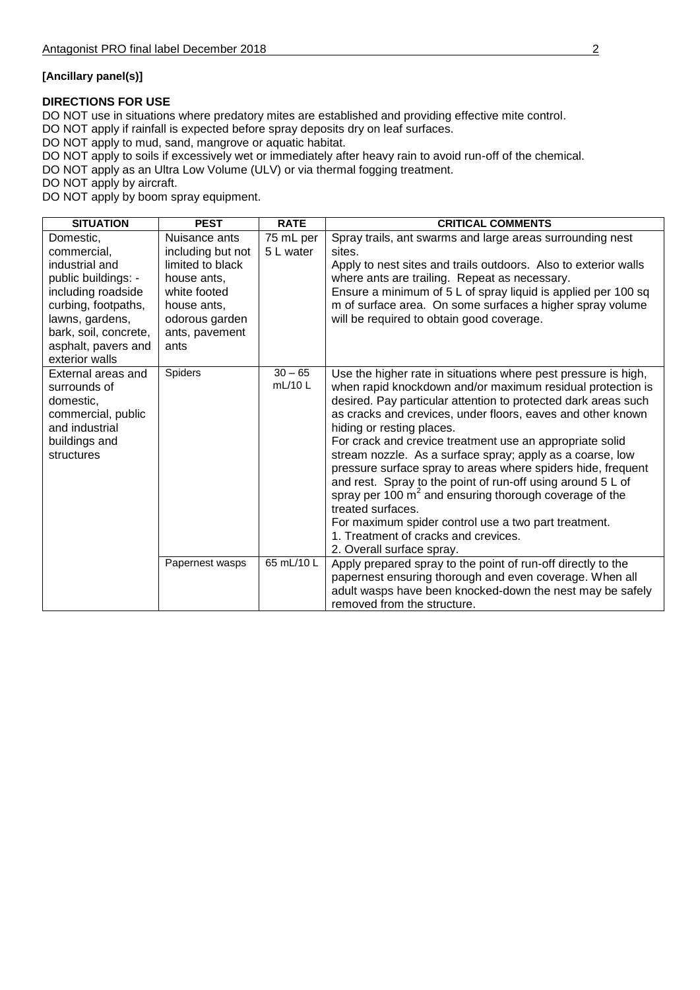#### **[Ancillary panel(s)]**

#### **DIRECTIONS FOR USE**

DO NOT use in situations where predatory mites are established and providing effective mite control.

DO NOT apply if rainfall is expected before spray deposits dry on leaf surfaces.

DO NOT apply to mud, sand, mangrove or aquatic habitat.

DO NOT apply to soils if excessively wet or immediately after heavy rain to avoid run-off of the chemical.

DO NOT apply as an Ultra Low Volume (ULV) or via thermal fogging treatment.

DO NOT apply by aircraft.

DO NOT apply by boom spray equipment.

| <b>SITUATION</b>                                                                                                                                                                                    | <b>PEST</b>                                                                                                                                      | <b>RATE</b>            | <b>CRITICAL COMMENTS</b>                                                                                                                                                                                                                                                                                                                                                                                                                                                                                                                                                                                                                                                                                                                                         |
|-----------------------------------------------------------------------------------------------------------------------------------------------------------------------------------------------------|--------------------------------------------------------------------------------------------------------------------------------------------------|------------------------|------------------------------------------------------------------------------------------------------------------------------------------------------------------------------------------------------------------------------------------------------------------------------------------------------------------------------------------------------------------------------------------------------------------------------------------------------------------------------------------------------------------------------------------------------------------------------------------------------------------------------------------------------------------------------------------------------------------------------------------------------------------|
| Domestic,<br>commercial.<br>industrial and<br>public buildings: -<br>including roadside<br>curbing, footpaths,<br>lawns, gardens,<br>bark, soil, concrete,<br>asphalt, pavers and<br>exterior walls | Nuisance ants<br>including but not<br>limited to black<br>house ants,<br>white footed<br>house ants,<br>odorous garden<br>ants, pavement<br>ants | 75 mL per<br>5 L water | Spray trails, ant swarms and large areas surrounding nest<br>sites.<br>Apply to nest sites and trails outdoors. Also to exterior walls<br>where ants are trailing. Repeat as necessary.<br>Ensure a minimum of 5 L of spray liquid is applied per 100 sq<br>m of surface area. On some surfaces a higher spray volume<br>will be required to obtain good coverage.                                                                                                                                                                                                                                                                                                                                                                                               |
| External areas and<br>surrounds of<br>domestic,<br>commercial, public<br>and industrial<br>buildings and<br>structures                                                                              | Spiders                                                                                                                                          | $30 - 65$<br>mL/10L    | Use the higher rate in situations where pest pressure is high,<br>when rapid knockdown and/or maximum residual protection is<br>desired. Pay particular attention to protected dark areas such<br>as cracks and crevices, under floors, eaves and other known<br>hiding or resting places.<br>For crack and crevice treatment use an appropriate solid<br>stream nozzle. As a surface spray; apply as a coarse, low<br>pressure surface spray to areas where spiders hide, frequent<br>and rest. Spray to the point of run-off using around 5 L of<br>spray per 100 $m2$ and ensuring thorough coverage of the<br>treated surfaces.<br>For maximum spider control use a two part treatment.<br>1. Treatment of cracks and crevices.<br>2. Overall surface spray. |
|                                                                                                                                                                                                     | Papernest wasps                                                                                                                                  | 65 mL/10 L             | Apply prepared spray to the point of run-off directly to the<br>papernest ensuring thorough and even coverage. When all<br>adult wasps have been knocked-down the nest may be safely<br>removed from the structure.                                                                                                                                                                                                                                                                                                                                                                                                                                                                                                                                              |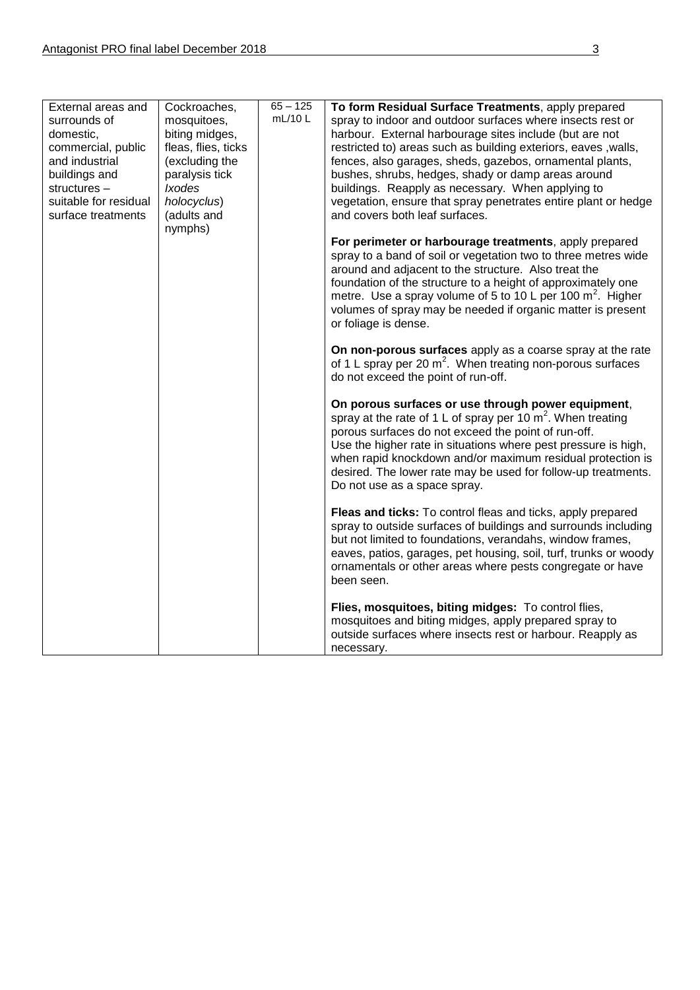| External areas and<br>surrounds of<br>domestic,<br>commercial, public<br>and industrial<br>buildings and<br>structures -<br>suitable for residual<br>surface treatments | Cockroaches,<br>mosquitoes,<br>biting midges,<br>fleas, flies, ticks<br>(excluding the<br>paralysis tick<br><b>Ixodes</b><br>holocyclus)<br>(adults and<br>nymphs) | $65 - 125$<br>mL/10L | To form Residual Surface Treatments, apply prepared<br>spray to indoor and outdoor surfaces where insects rest or<br>harbour. External harbourage sites include (but are not<br>restricted to) areas such as building exteriors, eaves , walls,<br>fences, also garages, sheds, gazebos, ornamental plants,<br>bushes, shrubs, hedges, shady or damp areas around<br>buildings. Reapply as necessary. When applying to<br>vegetation, ensure that spray penetrates entire plant or hedge<br>and covers both leaf surfaces.<br>For perimeter or harbourage treatments, apply prepared<br>spray to a band of soil or vegetation two to three metres wide<br>around and adjacent to the structure. Also treat the<br>foundation of the structure to a height of approximately one<br>metre. Use a spray volume of 5 to 10 L per 100 $m^2$ . Higher<br>volumes of spray may be needed if organic matter is present<br>or foliage is dense.<br>On non-porous surfaces apply as a coarse spray at the rate<br>of 1 L spray per 20 $m^2$ . When treating non-porous surfaces<br>do not exceed the point of run-off.<br>On porous surfaces or use through power equipment,<br>spray at the rate of 1 L of spray per 10 $m^2$ . When treating<br>porous surfaces do not exceed the point of run-off.<br>Use the higher rate in situations where pest pressure is high,<br>when rapid knockdown and/or maximum residual protection is<br>desired. The lower rate may be used for follow-up treatments.<br>Do not use as a space spray.<br>Fleas and ticks: To control fleas and ticks, apply prepared<br>spray to outside surfaces of buildings and surrounds including<br>but not limited to foundations, verandahs, window frames,<br>eaves, patios, garages, pet housing, soil, turf, trunks or woody<br>ornamentals or other areas where pests congregate or have<br>been seen. |
|-------------------------------------------------------------------------------------------------------------------------------------------------------------------------|--------------------------------------------------------------------------------------------------------------------------------------------------------------------|----------------------|---------------------------------------------------------------------------------------------------------------------------------------------------------------------------------------------------------------------------------------------------------------------------------------------------------------------------------------------------------------------------------------------------------------------------------------------------------------------------------------------------------------------------------------------------------------------------------------------------------------------------------------------------------------------------------------------------------------------------------------------------------------------------------------------------------------------------------------------------------------------------------------------------------------------------------------------------------------------------------------------------------------------------------------------------------------------------------------------------------------------------------------------------------------------------------------------------------------------------------------------------------------------------------------------------------------------------------------------------------------------------------------------------------------------------------------------------------------------------------------------------------------------------------------------------------------------------------------------------------------------------------------------------------------------------------------------------------------------------------------------------------------------------------------------------------------------------------------------------------------------------|
|                                                                                                                                                                         |                                                                                                                                                                    |                      | Flies, mosquitoes, biting midges: To control flies,<br>mosquitoes and biting midges, apply prepared spray to<br>outside surfaces where insects rest or harbour. Reapply as<br>necessary.                                                                                                                                                                                                                                                                                                                                                                                                                                                                                                                                                                                                                                                                                                                                                                                                                                                                                                                                                                                                                                                                                                                                                                                                                                                                                                                                                                                                                                                                                                                                                                                                                                                                                  |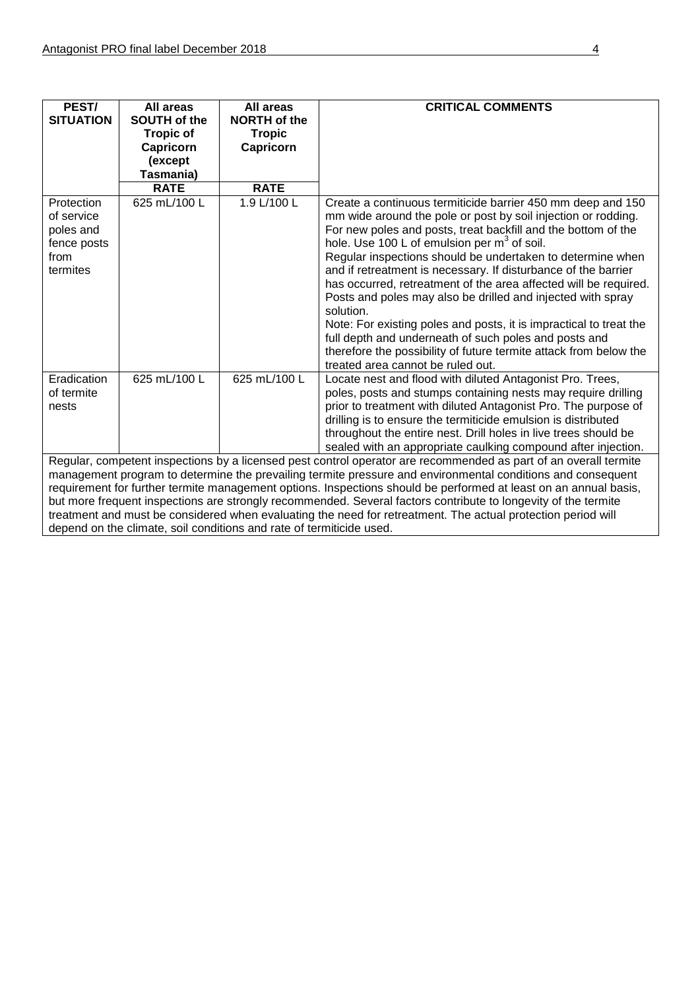| PEST/<br><b>SITUATION</b>                                                                                        | All areas<br>SOUTH of the<br><b>Tropic of</b><br>Capricorn | All areas<br><b>NORTH of the</b><br><b>Tropic</b><br>Capricorn | <b>CRITICAL COMMENTS</b>                                                                                                                                                                                                                                                                                                                                                                                                                                                                                                                                                                                                                                                                                                                                                          |
|------------------------------------------------------------------------------------------------------------------|------------------------------------------------------------|----------------------------------------------------------------|-----------------------------------------------------------------------------------------------------------------------------------------------------------------------------------------------------------------------------------------------------------------------------------------------------------------------------------------------------------------------------------------------------------------------------------------------------------------------------------------------------------------------------------------------------------------------------------------------------------------------------------------------------------------------------------------------------------------------------------------------------------------------------------|
|                                                                                                                  | (except                                                    |                                                                |                                                                                                                                                                                                                                                                                                                                                                                                                                                                                                                                                                                                                                                                                                                                                                                   |
|                                                                                                                  | Tasmania)                                                  |                                                                |                                                                                                                                                                                                                                                                                                                                                                                                                                                                                                                                                                                                                                                                                                                                                                                   |
|                                                                                                                  | <b>RATE</b>                                                | <b>RATE</b>                                                    |                                                                                                                                                                                                                                                                                                                                                                                                                                                                                                                                                                                                                                                                                                                                                                                   |
| Protection<br>of service<br>poles and<br>fence posts<br>from<br>termites                                         | 625 mL/100 L                                               | 1.9 L/100 L                                                    | Create a continuous termiticide barrier 450 mm deep and 150<br>mm wide around the pole or post by soil injection or rodding.<br>For new poles and posts, treat backfill and the bottom of the<br>hole. Use 100 L of emulsion per m <sup>3</sup> of soil.<br>Regular inspections should be undertaken to determine when<br>and if retreatment is necessary. If disturbance of the barrier<br>has occurred, retreatment of the area affected will be required.<br>Posts and poles may also be drilled and injected with spray<br>solution.<br>Note: For existing poles and posts, it is impractical to treat the<br>full depth and underneath of such poles and posts and<br>therefore the possibility of future termite attack from below the<br>treated area cannot be ruled out. |
| Eradication<br>of termite<br>nests                                                                               | 625 mL/100 L                                               | 625 mL/100 L                                                   | Locate nest and flood with diluted Antagonist Pro. Trees,<br>poles, posts and stumps containing nests may require drilling<br>prior to treatment with diluted Antagonist Pro. The purpose of<br>drilling is to ensure the termiticide emulsion is distributed<br>throughout the entire nest. Drill holes in live trees should be<br>sealed with an appropriate caulking compound after injection.<br>Regular, competent inspections by a licensed pest control operator are recommended as part of an overall termite                                                                                                                                                                                                                                                             |
| management program to determine the prevailing termite pressure and environmental conditions and consequent      |                                                            |                                                                |                                                                                                                                                                                                                                                                                                                                                                                                                                                                                                                                                                                                                                                                                                                                                                                   |
| requirement for further termite management options. Inspections should be performed at least on an annual basis, |                                                            |                                                                |                                                                                                                                                                                                                                                                                                                                                                                                                                                                                                                                                                                                                                                                                                                                                                                   |
| but more frequent inspections are strongly recommended. Several factors contribute to longevity of the termite   |                                                            |                                                                |                                                                                                                                                                                                                                                                                                                                                                                                                                                                                                                                                                                                                                                                                                                                                                                   |

treatment and must be considered when evaluating the need for retreatment. The actual protection period will depend on the climate, soil conditions and rate of termiticide used.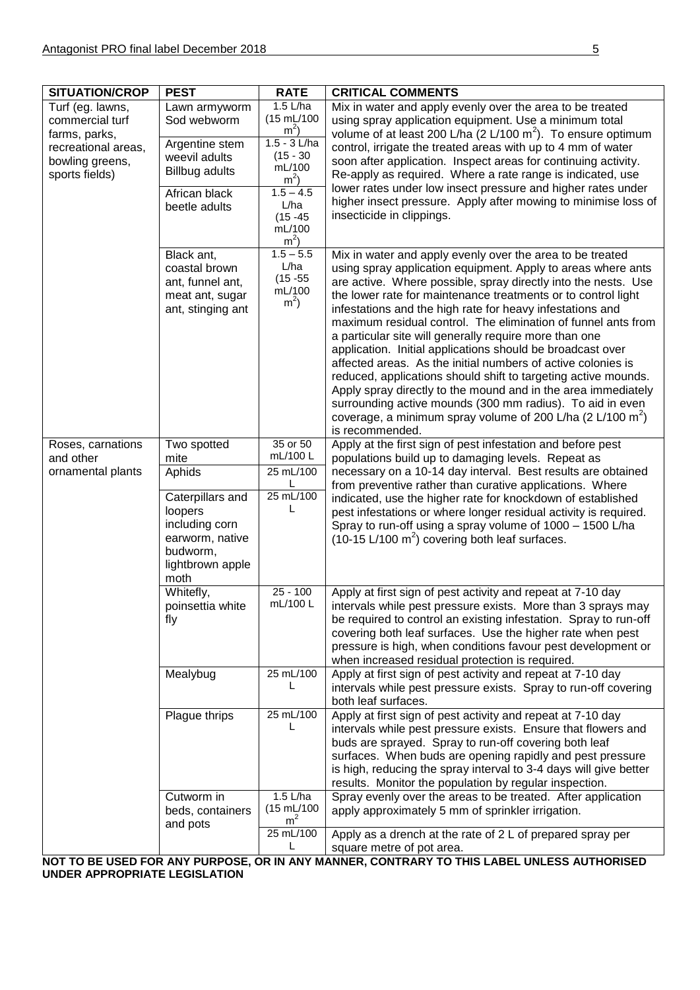| <b>SITUATION/CROP</b>                                                                                            | <b>PEST</b>                                                                                                                | <b>RATE</b>                                                                                                                                             | <b>CRITICAL COMMENTS</b>                                                                                                                                                                                                                                                                                                                                                                                                                                                                                                                                                                                                                                                                                                                                                                                                                                                        |  |
|------------------------------------------------------------------------------------------------------------------|----------------------------------------------------------------------------------------------------------------------------|---------------------------------------------------------------------------------------------------------------------------------------------------------|---------------------------------------------------------------------------------------------------------------------------------------------------------------------------------------------------------------------------------------------------------------------------------------------------------------------------------------------------------------------------------------------------------------------------------------------------------------------------------------------------------------------------------------------------------------------------------------------------------------------------------------------------------------------------------------------------------------------------------------------------------------------------------------------------------------------------------------------------------------------------------|--|
| Turf (eg. lawns,<br>commercial turf<br>farms, parks,<br>recreational areas,<br>bowling greens,<br>sports fields) | Lawn armyworm<br>Sod webworm<br>Argentine stem<br>weevil adults<br><b>Billbug adults</b><br>African black<br>beetle adults | 1.5 L/ha<br>(15 mL/100<br>$m^2$ )<br>$1.5 - 3$ L/ha<br>$(15 - 30)$<br>mL/100<br>$m^2$<br>$1.5 - 4.5$<br>L/ha<br>$(15 - 45)$<br>mL/100<br>m <sup>2</sup> | Mix in water and apply evenly over the area to be treated<br>using spray application equipment. Use a minimum total<br>volume of at least 200 L/ha (2 L/100 m <sup>2</sup> ). To ensure optimum<br>control, irrigate the treated areas with up to 4 mm of water<br>soon after application. Inspect areas for continuing activity.<br>Re-apply as required. Where a rate range is indicated, use<br>lower rates under low insect pressure and higher rates under<br>higher insect pressure. Apply after mowing to minimise loss of<br>insecticide in clippings.                                                                                                                                                                                                                                                                                                                  |  |
|                                                                                                                  | Black ant,<br>coastal brown<br>ant, funnel ant,<br>meat ant, sugar<br>ant, stinging ant                                    | $1.5 - 5.5$<br>L/ha<br>$(15 - 55)$<br>mL/100<br>m <sup>2</sup>                                                                                          | Mix in water and apply evenly over the area to be treated<br>using spray application equipment. Apply to areas where ants<br>are active. Where possible, spray directly into the nests. Use<br>the lower rate for maintenance treatments or to control light<br>infestations and the high rate for heavy infestations and<br>maximum residual control. The elimination of funnel ants from<br>a particular site will generally require more than one<br>application. Initial applications should be broadcast over<br>affected areas. As the initial numbers of active colonies is<br>reduced, applications should shift to targeting active mounds.<br>Apply spray directly to the mound and in the area immediately<br>surrounding active mounds (300 mm radius). To aid in even<br>coverage, a minimum spray volume of 200 L/ha (2 L/100 m <sup>2</sup> )<br>is recommended. |  |
| Roses, carnations<br>and other                                                                                   | Two spotted<br>mite                                                                                                        | 35 or 50<br>mL/100 L                                                                                                                                    | Apply at the first sign of pest infestation and before pest<br>populations build up to damaging levels. Repeat as                                                                                                                                                                                                                                                                                                                                                                                                                                                                                                                                                                                                                                                                                                                                                               |  |
| ornamental plants                                                                                                | Aphids                                                                                                                     | 25 mL/100                                                                                                                                               | necessary on a 10-14 day interval. Best results are obtained<br>from preventive rather than curative applications. Where                                                                                                                                                                                                                                                                                                                                                                                                                                                                                                                                                                                                                                                                                                                                                        |  |
|                                                                                                                  | Caterpillars and<br>loopers<br>including corn<br>earworm, native<br>budworm,<br>lightbrown apple<br>moth                   | 25 mL/100<br>L                                                                                                                                          | indicated, use the higher rate for knockdown of established<br>pest infestations or where longer residual activity is required.<br>Spray to run-off using a spray volume of 1000 - 1500 L/ha<br>$(10-15 \text{ L}/100 \text{ m}^2)$ covering both leaf surfaces.                                                                                                                                                                                                                                                                                                                                                                                                                                                                                                                                                                                                                |  |
|                                                                                                                  | $\overline{W}$ hitefly,<br>poinsettia white<br>fly                                                                         | $25 - 100$<br>mL/100L                                                                                                                                   | Apply at first sign of pest activity and repeat at 7-10 day<br>intervals while pest pressure exists. More than 3 sprays may<br>be required to control an existing infestation. Spray to run-off<br>covering both leaf surfaces. Use the higher rate when pest<br>pressure is high, when conditions favour pest development or<br>when increased residual protection is required.                                                                                                                                                                                                                                                                                                                                                                                                                                                                                                |  |
|                                                                                                                  | Mealybug                                                                                                                   | 25 mL/100                                                                                                                                               | Apply at first sign of pest activity and repeat at 7-10 day<br>intervals while pest pressure exists. Spray to run-off covering<br>both leaf surfaces.                                                                                                                                                                                                                                                                                                                                                                                                                                                                                                                                                                                                                                                                                                                           |  |
|                                                                                                                  | Plague thrips                                                                                                              | 25 mL/100<br>L                                                                                                                                          | Apply at first sign of pest activity and repeat at 7-10 day<br>intervals while pest pressure exists. Ensure that flowers and<br>buds are sprayed. Spray to run-off covering both leaf<br>surfaces. When buds are opening rapidly and pest pressure<br>is high, reducing the spray interval to 3-4 days will give better<br>results. Monitor the population by regular inspection.                                                                                                                                                                                                                                                                                                                                                                                                                                                                                               |  |
|                                                                                                                  | Cutworm in<br>beds, containers                                                                                             | 1.5 L/ha<br>$(15 \text{ mL}/100)$<br>m <sup>2</sup>                                                                                                     | Spray evenly over the areas to be treated. After application<br>apply approximately 5 mm of sprinkler irrigation.                                                                                                                                                                                                                                                                                                                                                                                                                                                                                                                                                                                                                                                                                                                                                               |  |
|                                                                                                                  | and pots                                                                                                                   | 25 mL/100                                                                                                                                               | Apply as a drench at the rate of 2 L of prepared spray per<br>square metre of pot area.                                                                                                                                                                                                                                                                                                                                                                                                                                                                                                                                                                                                                                                                                                                                                                                         |  |

**NOT TO BE USED FOR ANY PURPOSE, OR IN ANY MANNER, CONTRARY TO THIS LABEL UNLESS AUTHORISED UNDER APPROPRIATE LEGISLATION**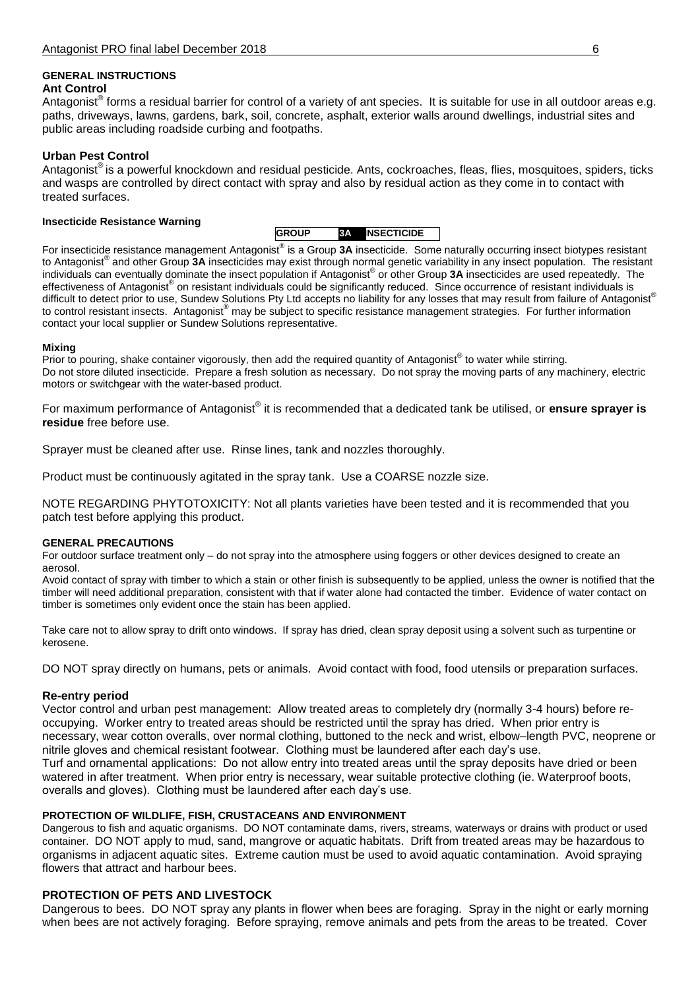#### **GENERAL INSTRUCTIONS Ant Control**

Antagonist<sup>®</sup> forms a residual barrier for control of a variety of ant species. It is suitable for use in all outdoor areas e.g. paths, driveways, lawns, gardens, bark, soil, concrete, asphalt, exterior walls around dwellings, industrial sites and public areas including roadside curbing and footpaths.

## **Urban Pest Control**

Antagonist® is a powerful knockdown and residual pesticide. Ants, cockroaches, fleas, flies, mosquitoes, spiders, ticks and wasps are controlled by direct contact with spray and also by residual action as they come in to contact with treated surfaces.

#### **Insecticide Resistance Warning**

| <b>IGROUP</b> | <b>NINSECTICIDE</b> |
|---------------|---------------------|

For insecticide resistance management Antagonist® is a Group 3A insecticide. Some naturally occurring insect biotypes resistant to Antagonist® and other Group **3A** insecticides may exist through normal genetic variability in any insect population. The resistant individuals can eventually dominate the insect population if Antagonist® or other Group **3A** insecticides are used repeatedly. The effectiveness of Antagonist® on resistant individuals could be significantly reduced. Since occurrence of resistant individuals is difficult to detect prior to use, Sundew Solutions Pty Ltd accepts no liability for any losses that may result from failure of Antagonist® to control resistant insects. Antagonist<sup>®</sup> may be subject to specific resistance management strategies. For further information contact your local supplier or Sundew Solutions representative.

#### **Mixing**

Prior to pouring, shake container vigorously, then add the required quantity of Antagonist® to water while stirring. Do not store diluted insecticide. Prepare a fresh solution as necessary. Do not spray the moving parts of any machinery, electric motors or switchgear with the water-based product.

For maximum performance of Antagonist® it is recommended that a dedicated tank be utilised, or **ensure sprayer is residue** free before use.

Sprayer must be cleaned after use. Rinse lines, tank and nozzles thoroughly.

Product must be continuously agitated in the spray tank. Use a COARSE nozzle size.

NOTE REGARDING PHYTOTOXICITY: Not all plants varieties have been tested and it is recommended that you patch test before applying this product.

#### **GENERAL PRECAUTIONS**

For outdoor surface treatment only – do not spray into the atmosphere using foggers or other devices designed to create an aerosol.

Avoid contact of spray with timber to which a stain or other finish is subsequently to be applied, unless the owner is notified that the timber will need additional preparation, consistent with that if water alone had contacted the timber. Evidence of water contact on timber is sometimes only evident once the stain has been applied.

Take care not to allow spray to drift onto windows. If spray has dried, clean spray deposit using a solvent such as turpentine or kerosene.

DO NOT spray directly on humans, pets or animals. Avoid contact with food, food utensils or preparation surfaces.

#### **Re-entry period**

Vector control and urban pest management: Allow treated areas to completely dry (normally 3-4 hours) before reoccupying. Worker entry to treated areas should be restricted until the spray has dried. When prior entry is necessary, wear cotton overalls, over normal clothing, buttoned to the neck and wrist, elbow–length PVC, neoprene or nitrile gloves and chemical resistant footwear. Clothing must be laundered after each day's use. Turf and ornamental applications: Do not allow entry into treated areas until the spray deposits have dried or been watered in after treatment. When prior entry is necessary, wear suitable protective clothing (ie. Waterproof boots, overalls and gloves). Clothing must be laundered after each day's use.

#### **PROTECTION OF WILDLIFE, FISH, CRUSTACEANS AND ENVIRONMENT**

Dangerous to fish and aquatic organisms. DO NOT contaminate dams, rivers, streams, waterways or drains with product or used container. DO NOT apply to mud, sand, mangrove or aquatic habitats. Drift from treated areas may be hazardous to organisms in adjacent aquatic sites. Extreme caution must be used to avoid aquatic contamination. Avoid spraying flowers that attract and harbour bees.

#### **PROTECTION OF PETS AND LIVESTOCK**

Dangerous to bees. DO NOT spray any plants in flower when bees are foraging. Spray in the night or early morning when bees are not actively foraging. Before spraying, remove animals and pets from the areas to be treated. Cover